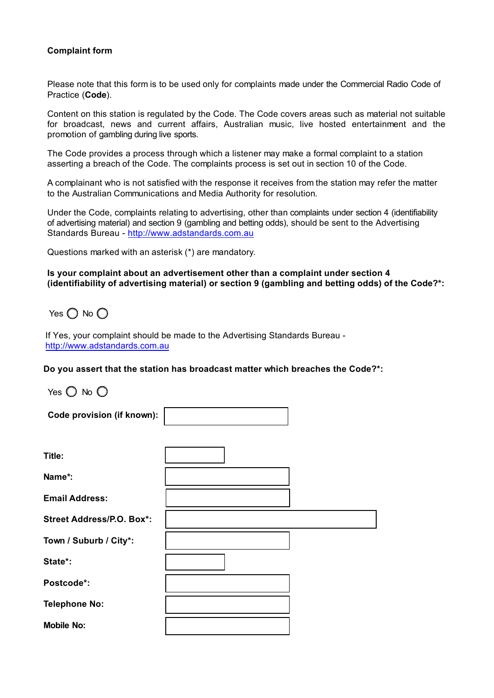## **Complaint form**

Please note that this form is to be used only for complaints made under the Commercial Radio Code of Practice (**Code**).

Content on this station is regulated by the Code. The Code covers areas such as material not suitable for broadcast, news and current affairs, Australian music, live hosted entertainment and the promotion of gambling during live sports.

The Code provides a process through which a listener may make a formal complaint to a station asserting a breach of the Code. The complaints process is set out in section 10 of the Code.

A complainant who is not satisfied with the response it receives from the station may refer the matter to the Australian Communications and Media Authority for resolution.

Under the Code, complaints relating to advertising, other than complaints under section 4 (identifiability of advertising material) and section 9 (gambling and betting odds), should be sent to the Advertising Standards Bureau - <http://www.adstandards.com.au>

Questions marked with an asterisk (\*) are mandatory.

**Is your complaint about an advertisement other than a complaint under section 4 (identifiability of advertising material) or section 9 (gambling and betting odds) of the Code?\*:**

Yes  $\bigcap$  No  $\bigcap$ 

If Yes, your complaint should be made to the Advertising Standards Bureau <http://www.adstandards.com.au>

г

**Do you assert that the station has broadcast matter which breaches the Code?\*:**

Yes  $\bigcirc$  No  $\bigcirc$ 

| Code provision (if known):       |  |
|----------------------------------|--|
|                                  |  |
| Title:                           |  |
| Name*:                           |  |
| <b>Email Address:</b>            |  |
| <b>Street Address/P.O. Box*:</b> |  |
| Town / Suburb / City*:           |  |
| State*:                          |  |
| Postcode*:                       |  |
| <b>Telephone No:</b>             |  |
| <b>Mobile No:</b>                |  |